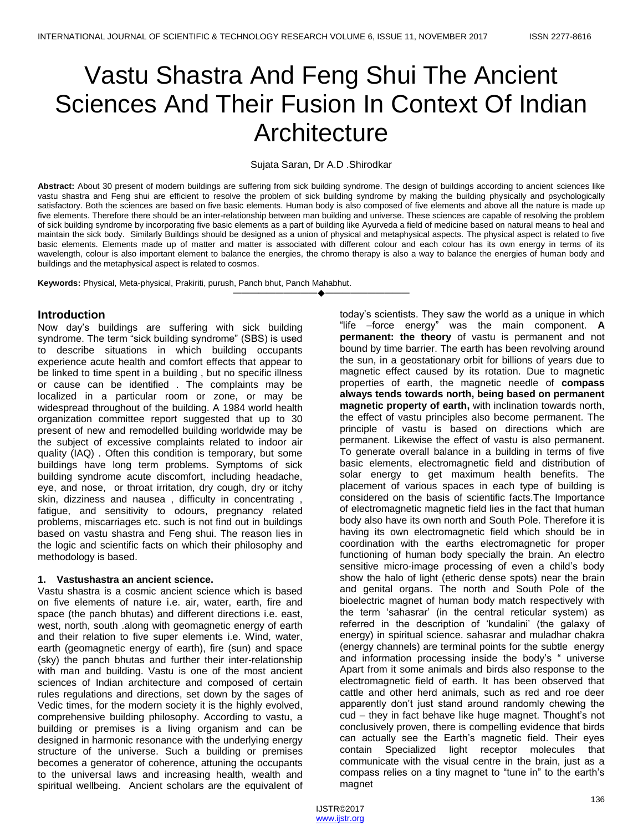# Vastu Shastra And Feng Shui The Ancient Sciences And Their Fusion In Context Of Indian **Architecture**

## Sujata Saran, Dr A.D .Shirodkar

**Abstract:** About 30 present of modern buildings are suffering from sick building syndrome. The design of buildings according to ancient sciences like vastu shastra and Feng shui are efficient to resolve the problem of sick building syndrome by making the building physically and psychologically satisfactory. Both the sciences are based on five basic elements. Human body is also composed of five elements and above all the nature is made up five elements. Therefore there should be an inter-relationship between man building and universe. These sciences are capable of resolving the problem of sick building syndrome by incorporating five basic elements as a part of building like Ayurveda a field of medicine based on natural means to heal and maintain the sick body. Similarly Buildings should be designed as a union of physical and metaphysical aspects. The physical aspect is related to five basic elements. Elements made up of matter and matter is associated with different colour and each colour has its own energy in terms of its wavelength, colour is also important element to balance the energies, the chromo therapy is also a way to balance the energies of human body and buildings and the metaphysical aspect is related to cosmos.

————————————————————

**Keywords:** Physical, Meta-physical, Prakiriti, purush, Panch bhut, Panch Mahabhut.

## **Introduction**

Now day's buildings are suffering with sick building syndrome. The term "sick building syndrome" (SBS) is used to describe situations in which building occupants experience acute health and comfort effects that appear to be linked to time spent in a building , but no specific illness or cause can be identified . The complaints may be localized in a particular room or zone, or may be widespread throughout of the building. A 1984 world health organization committee report suggested that up to 30 present of new and remodelled building worldwide may be the subject of excessive complaints related to indoor air quality (IAQ) . Often this condition is temporary, but some buildings have long term problems. Symptoms of sick building syndrome acute discomfort, including headache, eye, and nose, or throat irritation, dry cough, dry or itchy skin, dizziness and nausea , difficulty in concentrating , fatigue, and sensitivity to odours, pregnancy related problems, miscarriages etc. such is not find out in buildings based on vastu shastra and Feng shui. The reason lies in the logic and scientific facts on which their philosophy and methodology is based.

## **1. Vastushastra an ancient science.**

Vastu shastra is a cosmic ancient science which is based on five elements of nature i.e. air, water, earth, fire and space (the panch bhutas) and different directions i.e. east, west, north, south .along with geomagnetic energy of earth and their relation to five super elements i.e. Wind, water, earth (geomagnetic energy of earth), fire (sun) and space (sky) the panch bhutas and further their inter-relationship with man and building. Vastu is one of the most ancient sciences of Indian architecture and composed of certain rules regulations and directions, set down by the sages of Vedic times, for the modern society it is the highly evolved, comprehensive building philosophy. According to vastu, a building or premises is a living organism and can be designed in harmonic resonance with the underlying energy structure of the universe. Such a building or premises becomes a generator of coherence, attuning the occupants to the universal laws and increasing health, wealth and spiritual wellbeing. Ancient scholars are the equivalent of

today's scientists. They saw the world as a unique in which "life –force energy" was the main component. A **permanent: the theory** of vastu is permanent and not bound by time barrier. The earth has been revolving around the sun, in a geostationary orbit for billions of years due to magnetic effect caused by its rotation. Due to magnetic properties of earth, the magnetic needle of **compass always tends towards north, being based on permanent magnetic property of earth,** with inclination towards north, the effect of vastu principles also become permanent. The principle of vastu is based on directions which are permanent. Likewise the effect of vastu is also permanent. To generate overall balance in a building in terms of five basic elements, electromagnetic field and distribution of solar energy to get maximum health benefits. The placement of various spaces in each type of building is considered on the basis of scientific facts.The Importance of electromagnetic magnetic field lies in the fact that human body also have its own north and South Pole. Therefore it is having its own electromagnetic field which should be in coordination with the earths electromagnetic for proper functioning of human body specially the brain. An electro sensitive micro-image processing of even a child's body show the halo of light (etheric dense spots) near the brain and genital organs. The north and South Pole of the bioelectric magnet of human body match respectively with the term 'sahasrar' (in the central reticular system) as referred in the description of 'kundalini' (the galaxy of energy) in spiritual science. sahasrar and muladhar chakra (energy channels) are terminal points for the subtle energy and information processing inside the body's "universe Apart from it some animals and birds also response to the electromagnetic field of earth. It has been observed that cattle and other herd animals, such as red and roe deer apparently don't just stand around randomly chewing the cud – they in fact behave like huge magnet. Thought's not conclusively proven, there is compelling evidence that birds can actually see the Earth's magnetic field. Their eyes contain Specialized light receptor molecules that communicate with the visual centre in the brain, just as a compass relies on a tiny magnet to "tune in" to the earth's magnet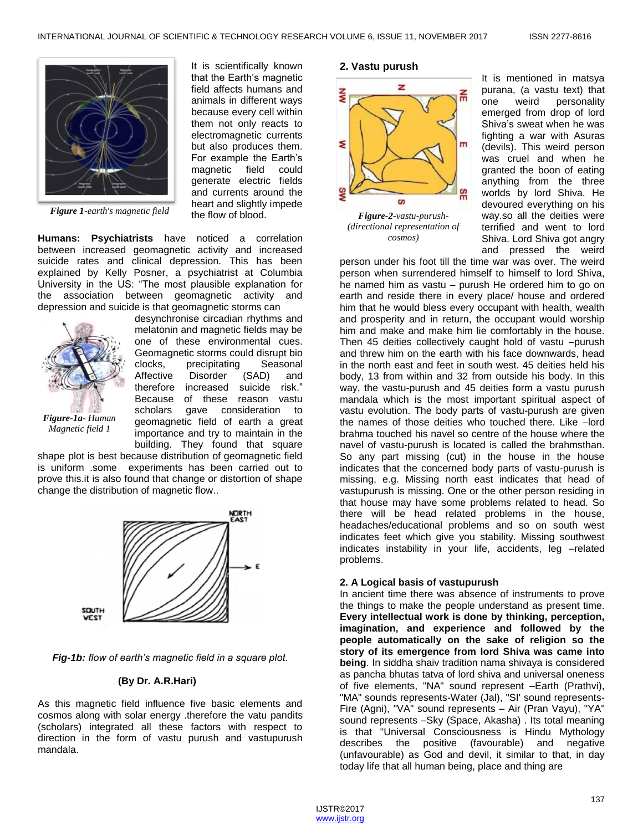It is scientifically known that the Earth's magnetic field affects humans and animals in different ways because every cell within them not only reacts to electromagnetic currents but also produces them. For example the Earth's magnetic field could generate electric fields and currents around the heart and slightly impede



*Figure 1-earth's magnetic field*

**Humans: Psychiatrists** have noticed a correlation between increased geomagnetic activity and increased suicide rates and clinical depression. This has been explained by Kelly Posner, a psychiatrist at Columbia University in the US: "The most plausible explanation for the association between geomagnetic activity and depression and suicide is that geomagnetic storms can



desynchronise circadian rhythms and melatonin and magnetic fields may be one of these environmental cues. Geomagnetic storms could disrupt bio clocks, precipitating Seasonal Affective Disorder (SAD) and therefore increased suicide risk." Because of these reason vastu scholars gave consideration to geomagnetic field of earth a great importance and try to maintain in the building. They found that square

the flow of blood.

*Magnetic field 1*

shape plot is best because distribution of geomagnetic field is uniform .some experiments has been carried out to prove this.it is also found that change or distortion of shape change the distribution of magnetic flow..



*Fig-1b: flow of earth's magnetic field in a square plot.*

## **(By Dr. A.R.Hari)**

As this magnetic field influence five basic elements and cosmos along with solar energy .therefore the vatu pandits (scholars) integrated all these factors with respect to direction in the form of vastu purush and vastupurush mandala.

# **2. Vastu purush**



*(directional representation of cosmos)*

It is mentioned in matsya purana, (a vastu text) that one weird personality emerged from drop of lord Shiva's sweat when he was fighting a war with Asuras (devils). This weird person was cruel and when he granted the boon of eating anything from the three worlds by lord Shiva. He devoured everything on his way.so all the deities were terrified and went to lord Shiva. Lord Shiva got angry and pressed the weird

person under his foot till the time war was over. The weird person when surrendered himself to himself to lord Shiva, he named him as vastu – purush He ordered him to go on earth and reside there in every place/ house and ordered him that he would bless every occupant with health, wealth and prosperity and in return, the occupant would worship him and make and make him lie comfortably in the house. Then 45 deities collectively caught hold of vastu –purush and threw him on the earth with his face downwards, head in the north east and feet in south west. 45 deities held his body, 13 from within and 32 from outside his body. In this way, the vastu-purush and 45 deities form a vastu purush mandala which is the most important spiritual aspect of vastu evolution. The body parts of vastu-purush are given the names of those deities who touched there. Like –lord brahma touched his navel so centre of the house where the navel of vastu-purush is located is called the brahmsthan. So any part missing (cut) in the house in the house indicates that the concerned body parts of vastu-purush is missing, e.g. Missing north east indicates that head of vastupurush is missing. One or the other person residing in that house may have some problems related to head. So there will be head related problems in the house, headaches/educational problems and so on south west indicates feet which give you stability. Missing southwest indicates instability in your life, accidents, leg –related problems.

## **2. A Logical basis of vastupurush**

In ancient time there was absence of instruments to prove the things to make the people understand as present time. **Every intellectual work is done by thinking, perception, imagination, and experience and followed by the people automatically on the sake of religion so the story of its emergence from lord Shiva was came into being**. In siddha shaiv tradition nama shivaya is considered as pancha bhutas tatva of lord shiva and universal oneness of five elements, "NA" sound represent –Earth (Prathvi), "MA" sounds represents-Water (Jal), "SI' sound represents-Fire (Agni), "VA" sound represents – Air (Pran Vayu), "YA" sound represents –Sky (Space, Akasha) . Its total meaning is that "Universal Consciousness is Hindu Mythology describes the positive (favourable) and negative (unfavourable) as God and devil, it similar to that, in day today life that all human being, place and thing are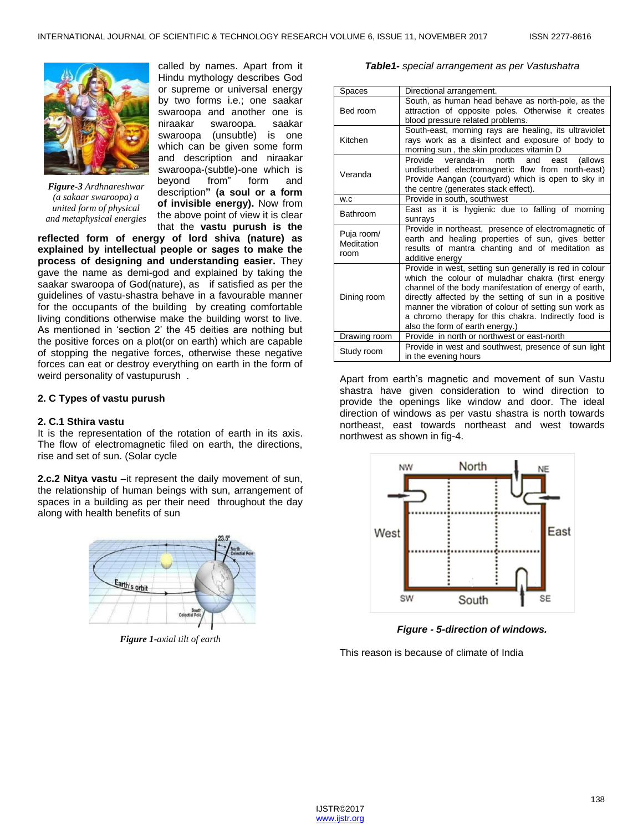

*Figure-3 Ardhnareshwar (a sakaar swaroopa) a united form of physical and metaphysical energies*

called by names. Apart from it Hindu mythology describes God or supreme or universal energy by two forms i.e.; one saakar swaroopa and another one is niraakar swaroopa. saakar swaroopa (unsubtle) is one which can be given some form and description and niraakar swaroopa-(subtle)-one which is beyond from" form and description**" (a soul or a form of invisible energy).** Now from the above point of view it is clear that the **vastu purush is the** 

**reflected form of energy of lord shiva (nature) as explained by intellectual people or sages to make the process of designing and understanding easier.** They gave the name as demi-god and explained by taking the saakar swaroopa of God(nature), as if satisfied as per the guidelines of vastu-shastra behave in a favourable manner for the occupants of the building by creating comfortable living conditions otherwise make the building worst to live. As mentioned in 'section 2' the 45 deities are nothing but the positive forces on a plot(or on earth) which are capable of stopping the negative forces, otherwise these negative forces can eat or destroy everything on earth in the form of weird personality of vastupurush .

#### **2. C Types of vastu purush**

## **2. C.1 Sthira vastu**

It is the representation of the rotation of earth in its axis. The flow of electromagnetic filed on earth, the directions, rise and set of sun. (Solar cycle

**2.c.2 Nitya vastu** –it represent the daily movement of sun, the relationship of human beings with sun, arrangement of spaces in a building as per their need throughout the day along with health benefits of sun



*Figure 1-axial tilt of earth*

#### *Table1- special arrangement as per Vastushatra*

| Spaces                           | Directional arrangement.                                                                                                                                                                                                                                                                                                                                                           |  |  |
|----------------------------------|------------------------------------------------------------------------------------------------------------------------------------------------------------------------------------------------------------------------------------------------------------------------------------------------------------------------------------------------------------------------------------|--|--|
| Bed room                         | South, as human head behave as north-pole, as the<br>attraction of opposite poles. Otherwise it creates<br>blood pressure related problems.                                                                                                                                                                                                                                        |  |  |
| Kitchen                          | South-east, morning rays are healing, its ultraviolet<br>rays work as a disinfect and exposure of body to<br>morning sun, the skin produces vitamin D                                                                                                                                                                                                                              |  |  |
| Veranda                          | Provide veranda-in north and<br>(allows)<br>east<br>undisturbed electromagnetic flow from north-east)<br>Provide Aangan (courtyard) which is open to sky in<br>the centre (generates stack effect).                                                                                                                                                                                |  |  |
| W.C                              | Provide in south, southwest                                                                                                                                                                                                                                                                                                                                                        |  |  |
| Bathroom                         | East as it is hygienic due to falling of morning<br>sunrays                                                                                                                                                                                                                                                                                                                        |  |  |
| Puja room/<br>Meditation<br>room | Provide in northeast, presence of electromagnetic of<br>earth and healing properties of sun, gives better<br>results of mantra chanting and of meditation as<br>additive energy                                                                                                                                                                                                    |  |  |
| Dining room                      | Provide in west, setting sun generally is red in colour<br>which the colour of muladhar chakra (first energy<br>channel of the body manifestation of energy of earth,<br>directly affected by the setting of sun in a positive<br>manner the vibration of colour of setting sun work as<br>a chromo therapy for this chakra. Indirectly food is<br>also the form of earth energy.) |  |  |
| Drawing room                     | Provide in north or northwest or east-north                                                                                                                                                                                                                                                                                                                                        |  |  |
| Study room                       | Provide in west and southwest, presence of sun light<br>in the evening hours                                                                                                                                                                                                                                                                                                       |  |  |

Apart from earth's magnetic and movement of sun Vastu shastra have given consideration to wind direction to provide the openings like window and door. The ideal direction of windows as per vastu shastra is north towards northeast, east towards northeast and west towards northwest as shown in fig-4.



*Figure - 5-direction of windows.*

This reason is because of climate of India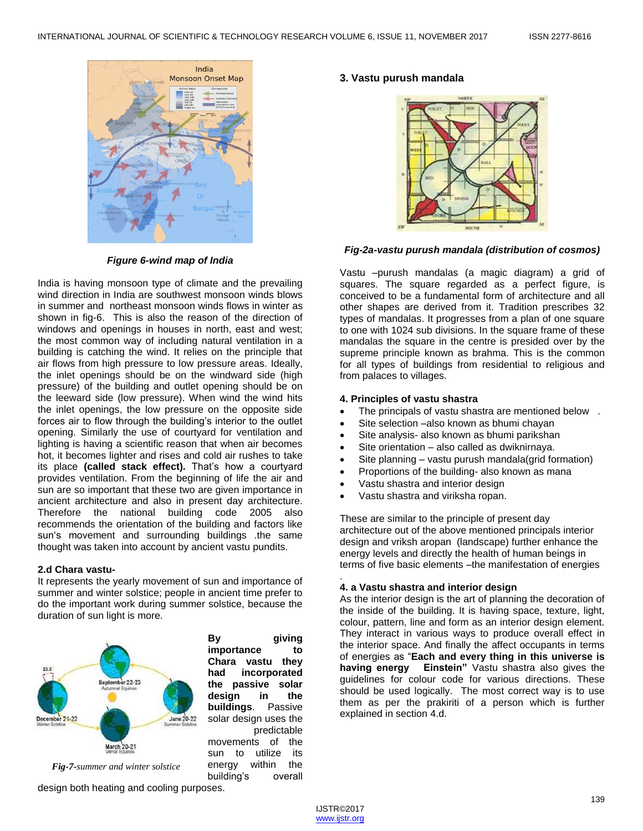

*Figure 6-wind map of India*

India is having monsoon type of climate and the prevailing wind direction in India are southwest monsoon winds blows in summer and northeast monsoon winds flows in winter as shown in fig-6. This is also the reason of the direction of windows and openings in houses in north, east and west; the most common way of including natural ventilation in a building is catching the wind. It relies on the principle that air flows from high pressure to low pressure areas. Ideally, the inlet openings should be on the windward side (high pressure) of the building and outlet opening should be on the leeward side (low pressure). When wind the wind hits the inlet openings, the low pressure on the opposite side forces air to flow through the building's interior to the outlet opening. Similarly the use of courtyard for ventilation and lighting is having a scientific reason that when air becomes hot, it becomes lighter and rises and cold air rushes to take its place **(called stack effect).** That's how a courtyard provides ventilation. From the beginning of life the air and sun are so important that these two are given importance in ancient architecture and also in present day architecture. Therefore the national building code 2005 also recommends the orientation of the building and factors like sun's movement and surrounding buildings .the same thought was taken into account by ancient vastu pundits.

# **2.d Chara vastu-**

It represents the yearly movement of sun and importance of summer and winter solstice; people in ancient time prefer to do the important work during summer solstice, because the duration of sun light is more.



**By giving importance to Chara vastu they had incorporated the passive solar design in the buildings**. Passive solar design uses the predictable movements of the sun to utilize its energy within the building's overall

# **3. Vastu purush mandala**



## *Fig-2a-vastu purush mandala (distribution of cosmos)*

Vastu –purush mandalas (a magic diagram) a grid of squares. The square regarded as a perfect figure, is conceived to be a fundamental form of architecture and all other shapes are derived from it. Tradition prescribes 32 types of mandalas. It progresses from a plan of one square to one with 1024 sub divisions. In the square frame of these mandalas the square in the centre is presided over by the supreme principle known as brahma. This is the common for all types of buildings from residential to religious and from palaces to villages.

## **4. Principles of vastu shastra**

- The principals of vastu shastra are mentioned below .
- Site selection –also known as bhumi chayan
- Site analysis- also known as bhumi parikshan
- Site orientation also called as dwiknirnaya.
- Site planning vastu purush mandala(grid formation)
- Proportions of the building- also known as mana
- Vastu shastra and interior design
- Vastu shastra and viriksha ropan.

These are similar to the principle of present day architecture out of the above mentioned principals interior design and vriksh aropan (landscape) further enhance the energy levels and directly the health of human beings in terms of five basic elements –the manifestation of energies

#### . **4. a Vastu shastra and interior design**

As the interior design is the art of planning the decoration of the inside of the building. It is having space, texture, light, colour, pattern, line and form as an interior design element. They interact in various ways to produce overall effect in the interior space. And finally the affect occupants in terms of energies as ―**Each and every thing in this universe is having energy Einstein"** Vastu shastra also gives the guidelines for colour code for various directions. These should be used logically. The most correct way is to use them as per the prakiriti of a person which is further explained in section 4.d.

*Fig-7-summer and winter solstice*

design both heating and cooling purposes.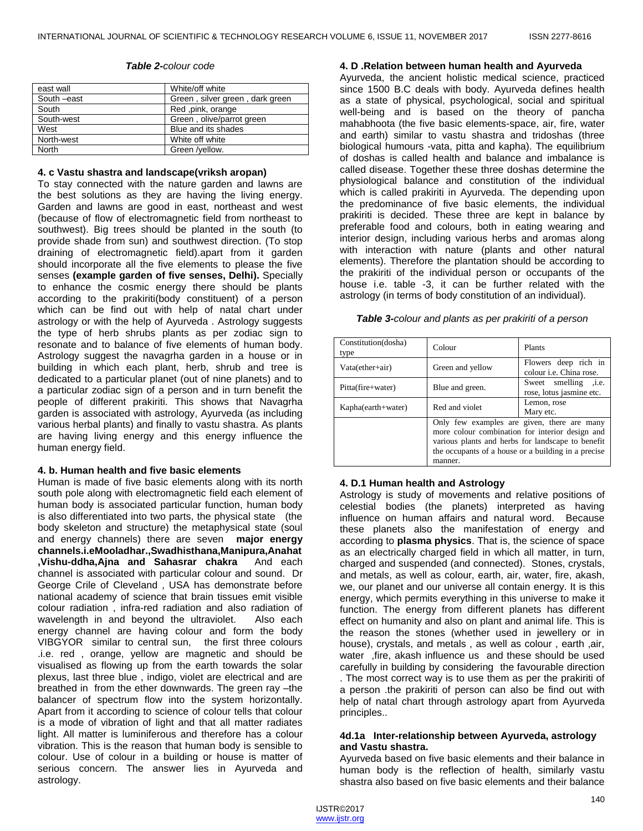| east wall   | White/off white                 |
|-------------|---------------------------------|
| South -east | Green, silver green, dark green |
| South       | Red ,pink, orange               |
| South-west  | Green, olive/parrot green       |
| West        | Blue and its shades             |
| North-west  | White off white                 |
| North       | Green /yellow.                  |

#### *Table 2-colour code*

#### **4. c Vastu shastra and landscape(vriksh aropan)**

To stay connected with the nature garden and lawns are the best solutions as they are having the living energy. Garden and lawns are good in east, northeast and west (because of flow of electromagnetic field from northeast to southwest). Big trees should be planted in the south (to provide shade from sun) and southwest direction. (To stop draining of electromagnetic field).apart from it garden should incorporate all the five elements to please the five senses **(example garden of five senses, Delhi).** Specially to enhance the cosmic energy there should be plants according to the prakiriti(body constituent) of a person which can be find out with help of natal chart under astrology or with the help of Ayurveda . Astrology suggests the type of herb shrubs plants as per zodiac sign to resonate and to balance of five elements of human body. Astrology suggest the navagrha garden in a house or in building in which each plant, herb, shrub and tree is dedicated to a particular planet (out of nine planets) and to a particular zodiac sign of a person and in turn benefit the people of different prakiriti. This shows that Navagrha garden is associated with astrology, Ayurveda (as including various herbal plants) and finally to vastu shastra. As plants are having living energy and this energy influence the human energy field.

#### **4. b. Human health and five basic elements**

Human is made of five basic elements along with its north south pole along with electromagnetic field each element of human body is associated particular function, human body is also differentiated into two parts, the physical state (the body skeleton and structure) the metaphysical state (soul and energy channels) there are seven **major energy channels.i.eMooladhar.,Swadhisthana,Manipura,Anahat ,Vishu-ddha,Ajna and Sahasrar chakra** And each channel is associated with particular colour and sound. Dr George Crile of Cleveland , USA has demonstrate before national academy of science that brain tissues emit visible colour radiation , infra-red radiation and also radiation of wavelength in and beyond the ultraviolet. Also each energy channel are having colour and form the body VIBGYOR similar to central sun, the first three colours .i.e. red , orange, yellow are magnetic and should be visualised as flowing up from the earth towards the solar plexus, last three blue , indigo, violet are electrical and are breathed in from the ether downwards. The green ray –the balancer of spectrum flow into the system horizontally. Apart from it according to science of colour tells that colour is a mode of vibration of light and that all matter radiates light. All matter is luminiferous and therefore has a colour vibration. This is the reason that human body is sensible to colour. Use of colour in a building or house is matter of serious concern. The answer lies in Ayurveda and astrology.

#### **4. D .Relation between human health and Ayurveda**

Ayurveda, the ancient holistic medical science, practiced since 1500 B.C deals with body. Ayurveda defines health as a state of physical, psychological, social and spiritual well-being and is based on the theory of pancha mahabhoota (the five basic elements-space, air, fire, water and earth) similar to vastu shastra and tridoshas (three biological humours -vata, pitta and kapha). The equilibrium of doshas is called health and balance and imbalance is called disease. Together these three doshas determine the physiological balance and constitution of the individual which is called prakiriti in Ayurveda. The depending upon the predominance of five basic elements, the individual prakiriti is decided. These three are kept in balance by preferable food and colours, both in eating wearing and interior design, including various herbs and aromas along with interaction with nature (plants and other natural elements). Therefore the plantation should be according to the prakiriti of the individual person or occupants of the house i.e. table -3, it can be further related with the astrology (in terms of body constitution of an individual).

| Table 3-colour and plants as per prakiriti of a person |  |  |  |
|--------------------------------------------------------|--|--|--|
|--------------------------------------------------------|--|--|--|

| Constitution(dosha)<br>type | Colour                                                                                                                                                                                                                | Plants                                                  |  |
|-----------------------------|-----------------------------------------------------------------------------------------------------------------------------------------------------------------------------------------------------------------------|---------------------------------------------------------|--|
| Vata(ether+air)             | Green and yellow                                                                                                                                                                                                      | Flowers deep rich in<br>colour <i>i.e.</i> China rose.  |  |
| Pitta(fire+water)           | Blue and green.                                                                                                                                                                                                       | Sweet smelling<br>$\dot{a}$<br>rose, lotus jasmine etc. |  |
| Kapha(earth+water)          | Red and violet                                                                                                                                                                                                        | Lemon, rose<br>Mary etc.                                |  |
|                             | Only few examples are given, there are many<br>more colour combination for interior design and<br>various plants and herbs for landscape to benefit<br>the occupants of a house or a building in a precise<br>manner. |                                                         |  |

#### **4. D.1 Human health and Astrology**

Astrology is study of movements and relative positions of celestial bodies (the planets) interpreted as having influence on human affairs and natural word. Because these planets also the manifestation of energy and according to **plasma physics**. That is, the science of space as an electrically charged field in which all matter, in turn, charged and suspended (and connected). Stones, crystals, and metals, as well as colour, earth, air, water, fire, akash, we, our planet and our universe all contain energy. It is this energy, which permits everything in this universe to make it function. The energy from different planets has different effect on humanity and also on plant and animal life. This is the reason the stones (whether used in jewellery or in house), crystals, and metals , as well as colour , earth ,air, water ,fire, akash influence us and these should be used carefully in building by considering the favourable direction . The most correct way is to use them as per the prakiriti of a person .the prakiriti of person can also be find out with help of natal chart through astrology apart from Ayurveda principles..

#### **4d.1a Inter-relationship between Ayurveda, astrology and Vastu shastra.**

Ayurveda based on five basic elements and their balance in human body is the reflection of health, similarly vastu shastra also based on five basic elements and their balance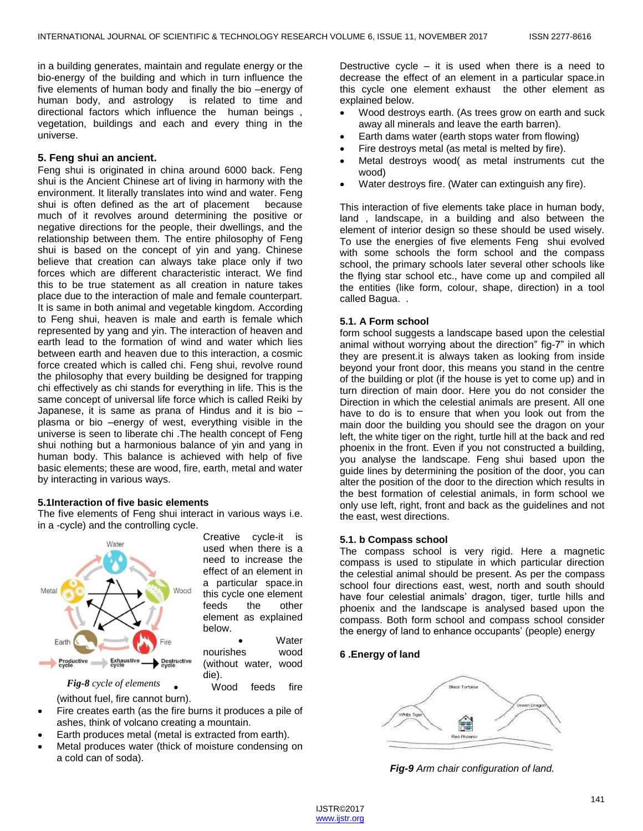in a building generates, maintain and regulate energy or the bio-energy of the building and which in turn influence the five elements of human body and finally the bio –energy of human body, and astrology is related to time and directional factors which influence the human beings , vegetation, buildings and each and every thing in the universe.

# **5. Feng shui an ancient.**

Feng shui is originated in china around 6000 back. Feng shui is the Ancient Chinese art of living in harmony with the environment. It literally translates into wind and water. Feng shui is often defined as the art of placement because much of it revolves around determining the positive or negative directions for the people, their dwellings, and the relationship between them. The entire philosophy of Feng shui is based on the concept of yin and yang. Chinese believe that creation can always take place only if two forces which are different characteristic interact. We find this to be true statement as all creation in nature takes place due to the interaction of male and female counterpart. It is same in both animal and vegetable kingdom. According to Feng shui, heaven is male and earth is female which represented by yang and yin. The interaction of heaven and earth lead to the formation of wind and water which lies between earth and heaven due to this interaction, a cosmic force created which is called chi. Feng shui, revolve round the philosophy that every building be designed for trapping chi effectively as chi stands for everything in life. This is the same concept of universal life force which is called Reiki by Japanese, it is same as prana of Hindus and it is bio – plasma or bio –energy of west, everything visible in the universe is seen to liberate chi .The health concept of Feng shui nothing but a harmonious balance of yin and yang in human body. This balance is achieved with help of five basic elements; these are wood, fire, earth, metal and water by interacting in various ways.

## **5.1Interaction of five basic elements**

The five elements of Feng shui interact in various ways i.e. in a -cycle) and the controlling cycle.



Creative cycle-it is used when there is a need to increase the effect of an element in a particular space.in this cycle one element feeds the other element as explained below.

**Water** nourishes wood (without water, wood die).

Wood feeds fire

(without fuel, fire cannot burn). *Fig-8 cycle of elements*

- Fire creates earth (as the fire burns it produces a pile of ashes, think of volcano creating a mountain.
- Earth produces metal (metal is extracted from earth).
- Metal produces water (thick of moisture condensing on a cold can of soda).

Destructive cycle  $-$  it is used when there is a need to decrease the effect of an element in a particular space.in this cycle one element exhaust the other element as explained below.

- Wood destroys earth. (As trees grow on earth and suck away all minerals and leave the earth barren).
- Earth dams water (earth stops water from flowing)
- Fire destroys metal (as metal is melted by fire).
- Metal destroys wood( as metal instruments cut the wood)
- Water destroys fire. (Water can extinguish any fire).

This interaction of five elements take place in human body, land , landscape, in a building and also between the element of interior design so these should be used wisely. To use the energies of five elements Feng shui evolved with some schools the form school and the compass school, the primary schools later several other schools like the flying star school etc., have come up and compiled all the entities (like form, colour, shape, direction) in a tool called Bagua. .

## **5.1. A Form school**

form school suggests a landscape based upon the celestial animal without worrying about the direction" fig-7" in which they are present.it is always taken as looking from inside beyond your front door, this means you stand in the centre of the building or plot (if the house is yet to come up) and in turn direction of main door. Here you do not consider the Direction in which the celestial animals are present. All one have to do is to ensure that when you look out from the main door the building you should see the dragon on your left, the white tiger on the right, turtle hill at the back and red phoenix in the front. Even if you not constructed a building, you analyse the landscape. Feng shui based upon the guide lines by determining the position of the door, you can alter the position of the door to the direction which results in the best formation of celestial animals, in form school we only use left, right, front and back as the guidelines and not the east, west directions.

## **5.1. b Compass school**

The compass school is very rigid. Here a magnetic compass is used to stipulate in which particular direction the celestial animal should be present. As per the compass school four directions east, west, north and south should have four celestial animals' dragon, tiger, turtle hills and phoenix and the landscape is analysed based upon the compass. Both form school and compass school consider the energy of land to enhance occupants' (people) energy

# **6 .Energy of land**



*Fig-9 Arm chair configuration of land.*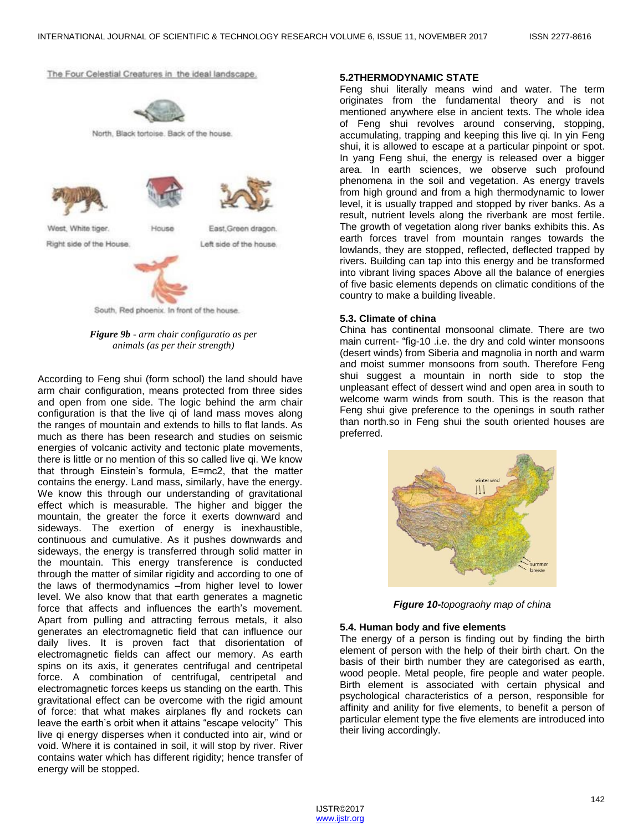The Four Celestial Creatures in the ideal landscape.



North, Black tortoise. Back of the house.



*Figure 9b - arm chair configuratio as per animals (as per their strength)*

According to Feng shui (form school) the land should have arm chair configuration, means protected from three sides and open from one side. The logic behind the arm chair configuration is that the live qi of land mass moves along the ranges of mountain and extends to hills to flat lands. As much as there has been research and studies on seismic energies of volcanic activity and tectonic plate movements, there is little or no mention of this so called live qi. We know that through Einstein's formula, E=mc2, that the matter contains the energy. Land mass, similarly, have the energy. We know this through our understanding of gravitational effect which is measurable. The higher and bigger the mountain, the greater the force it exerts downward and sideways. The exertion of energy is inexhaustible, continuous and cumulative. As it pushes downwards and sideways, the energy is transferred through solid matter in the mountain. This energy transference is conducted through the matter of similar rigidity and according to one of the laws of thermodynamics –from higher level to lower level. We also know that that earth generates a magnetic force that affects and influences the earth's movement. Apart from pulling and attracting ferrous metals, it also generates an electromagnetic field that can influence our daily lives. It is proven fact that disorientation of electromagnetic fields can affect our memory. As earth spins on its axis, it generates centrifugal and centripetal force. A combination of centrifugal, centripetal and electromagnetic forces keeps us standing on the earth. This gravitational effect can be overcome with the rigid amount of force: that what makes airplanes fly and rockets can leave the earth's orbit when it attains "escape velocity" This live gi energy disperses when it conducted into air, wind or void. Where it is contained in soil, it will stop by river. River contains water which has different rigidity; hence transfer of energy will be stopped.

#### **5.2THERMODYNAMIC STATE**

Feng shui literally means wind and water. The term originates from the fundamental theory and is not mentioned anywhere else in ancient texts. The whole idea of Feng shui revolves around conserving, stopping, accumulating, trapping and keeping this live qi. In yin Feng shui, it is allowed to escape at a particular pinpoint or spot. In yang Feng shui, the energy is released over a bigger area. In earth sciences, we observe such profound phenomena in the soil and vegetation. As energy travels from high ground and from a high thermodynamic to lower level, it is usually trapped and stopped by river banks. As a result, nutrient levels along the riverbank are most fertile. The growth of vegetation along river banks exhibits this. As earth forces travel from mountain ranges towards the lowlands, they are stopped, reflected, deflected trapped by rivers. Building can tap into this energy and be transformed into vibrant living spaces Above all the balance of energies of five basic elements depends on climatic conditions of the country to make a building liveable.

### **5.3. Climate of china**

China has continental monsoonal climate. There are two main current- "fig-10 .i.e. the dry and cold winter monsoons (desert winds) from Siberia and magnolia in north and warm and moist summer monsoons from south. Therefore Feng shui suggest a mountain in north side to stop the unpleasant effect of dessert wind and open area in south to welcome warm winds from south. This is the reason that Feng shui give preference to the openings in south rather than north.so in Feng shui the south oriented houses are preferred.



*Figure 10-topograohy map of china*

#### **5.4. Human body and five elements**

The energy of a person is finding out by finding the birth element of person with the help of their birth chart. On the basis of their birth number they are categorised as earth, wood people. Metal people, fire people and water people. Birth element is associated with certain physical and psychological characteristics of a person, responsible for affinity and anility for five elements, to benefit a person of particular element type the five elements are introduced into their living accordingly.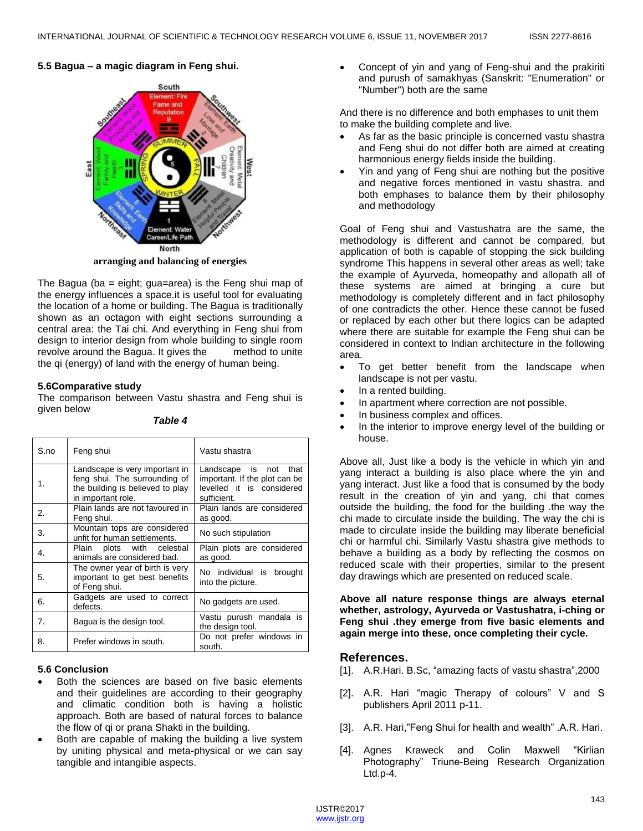# **5.5 Bagua – a magic diagram in Feng shui.**



**arranging and balancing of energies**

The Bagua (ba = eight; gua=area) is the Feng shui map of the energy influences a space.it is useful tool for evaluating the location of a home or building. The Bagua is traditionally shown as an octagon with eight sections surrounding a central area: the Tai chi. And everything in Feng shui from design to interior design from whole building to single room revolve around the Bagua. It gives the method to unite the qi (energy) of land with the energy of human being.

## **5.6Comparative study**

The comparison between Vastu shastra and Feng shui is given below

*Table 4*

| S.no | Feng shui                                                                                                                 | Vastu shastra                                                                                         |
|------|---------------------------------------------------------------------------------------------------------------------------|-------------------------------------------------------------------------------------------------------|
| 1.   | Landscape is very important in<br>feng shui. The surrounding of<br>the building is believed to play<br>in important role. | Landscape is not<br>that<br>important. If the plot can be<br>levelled it is considered<br>sufficient. |
| 2.   | Plain lands are not favoured in<br>Feng shui.                                                                             | Plain lands are considered<br>as good.                                                                |
| 3.   | Mountain tops are considered<br>unfit for human settlements.                                                              | No such stipulation                                                                                   |
| 4.   | Plain plots with celestial<br>animals are considered bad.                                                                 | Plain plots are considered<br>as good.                                                                |
| 5.   | The owner year of birth is very<br>important to get best benefits<br>of Feng shui.                                        | No individual is brought<br>into the picture.                                                         |
| 6.   | Gadgets are used to correct<br>defects.                                                                                   | No gadgets are used.                                                                                  |
| 7.   | Bagua is the design tool.                                                                                                 | Vastu purush mandala is<br>the design tool.                                                           |
| 8.   | Prefer windows in south.                                                                                                  | Do not prefer windows in<br>south.                                                                    |

# **5.6 Conclusion**

- Both the sciences are based on five basic elements and their guidelines are according to their geography and climatic condition both is having a holistic approach. Both are based of natural forces to balance the flow of qi or prana Shakti in the building.
- Both are capable of making the building a live system by uniting physical and meta-physical or we can say tangible and intangible aspects.

 Concept of yin and yang of Feng-shui and the prakiriti and purush of samakhyas (Sanskrit: "Enumeration" or "Number") both are the same

And there is no difference and both emphases to unit them to make the building complete and live.

- As far as the basic principle is concerned vastu shastra and Feng shui do not differ both are aimed at creating harmonious energy fields inside the building.
- Yin and yang of Feng shui are nothing but the positive and negative forces mentioned in vastu shastra. and both emphases to balance them by their philosophy and methodology

Goal of Feng shui and Vastushatra are the same, the methodology is different and cannot be compared, but application of both is capable of stopping the sick building syndrome This happens in several other areas as well; take the example of Ayurveda, homeopathy and allopath all of these systems are aimed at bringing a cure but methodology is completely different and in fact philosophy of one contradicts the other. Hence these cannot be fused or replaced by each other but there logics can be adapted where there are suitable for example the Feng shui can be considered in context to Indian architecture in the following area.

- To get better benefit from the landscape when landscape is not per vastu.
- In a rented building.
- In apartment where correction are not possible.
- In business complex and offices.
- In the interior to improve energy level of the building or house.

Above all, Just like a body is the vehicle in which yin and yang interact a building is also place where the yin and yang interact. Just like a food that is consumed by the body result in the creation of yin and yang, chi that comes outside the building, the food for the building .the way the chi made to circulate inside the building. The way the chi is made to circulate inside the building may liberate beneficial chi or harmful chi. Similarly Vastu shastra give methods to behave a building as a body by reflecting the cosmos on reduced scale with their properties, similar to the present day drawings which are presented on reduced scale.

**Above all nature response things are always eternal whether, astrology, Ayurveda or Vastushatra, i-ching or Feng shui .they emerge from five basic elements and again merge into these, once completing their cycle.**

# **References.**

- [1]. A.R.Hari. B.Sc, "amazing facts of vastu shastra", 2000
- [2]. A.R. Hari "magic Therapy of colours" V and S publishers April 2011 p-11.
- [3]. A.R. Hari,"Feng Shui for health and wealth" .A.R. Hari.
- [4]. Agnes Kraweck and Colin Maxwell "Kirlian Photography‖ Triune-Being Research Organization Ltd.p-4.